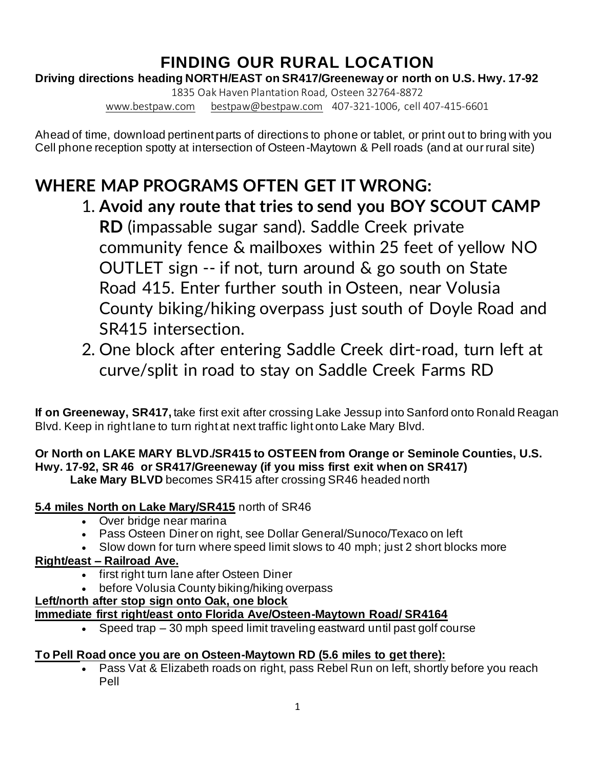## **FINDING OUR RURAL LOCATION**

**Driving directions heading NORTH/EAST on SR417/Greeneway or north on U.S. Hwy. 17-92**

1835 Oak Haven Plantation Road, Osteen 32764-8872 [www.bestpaw.com](http://www.bestpaw.com/) [bestpaw@bestpaw.com](mailto:bestpaw@bestpaw.com) 407-321-1006, cell 407-415-6601

Ahead of time, download pertinent parts of directions to phone or tablet, or print out to bring with you Cell phone reception spotty at intersection of Osteen-Maytown & Pell roads (and at our rural site)

# **WHERE MAP PROGRAMS OFTEN GET IT WRONG:**

- 1. **Avoid any route that tries to send you BOY SCOUT CAMP RD** (impassable sugar sand). Saddle Creek private community fence & mailboxes within 25 feet of yellow NO OUTLET sign -- if not, turn around & go south on State Road 415. Enter further south in Osteen, near Volusia County biking/hiking overpass just south of Doyle Road and SR415 intersection.
- 2. One block after entering Saddle Creek dirt-road, turn left at curve/split in road to stay on Saddle Creek Farms RD

**If on Greeneway, SR417,** take first exit after crossing Lake Jessup into Sanford onto Ronald Reagan Blvd. Keep in right lane to turn right at next traffic light onto Lake Mary Blvd.

### **Or North on LAKE MARY BLVD./SR415 to OSTEEN from Orange or Seminole Counties, U.S. Hwy. 17-92, SR 46 or SR417/Greeneway (if you miss first exit when on SR417)**

**Lake Mary BLVD** becomes SR415 after crossing SR46 headed north

#### **5.4 miles North on Lake Mary/SR415** north of SR46

- Over bridge near marina
- Pass Osteen Diner on right, see Dollar General/Sunoco/Texaco on left
- Slow down for turn where speed limit slows to 40 mph; just 2 short blocks more

#### **Right/east – Railroad Ave.**

- first right turn lane after Osteen Diner
- before Volusia County biking/hiking overpass

#### **Left/north after stop sign onto Oak, one block**

### **Immediate first right/east onto Florida Ave/Osteen-Maytown Road/ SR4164**

• Speed trap – 30 mph speed limit traveling eastward until past golf course

#### **To Pell Road once you are on Osteen-Maytown RD (5.6 miles to get there):**

• Pass Vat & Elizabeth roads on right, pass Rebel Run on left, shortly before you reach Pell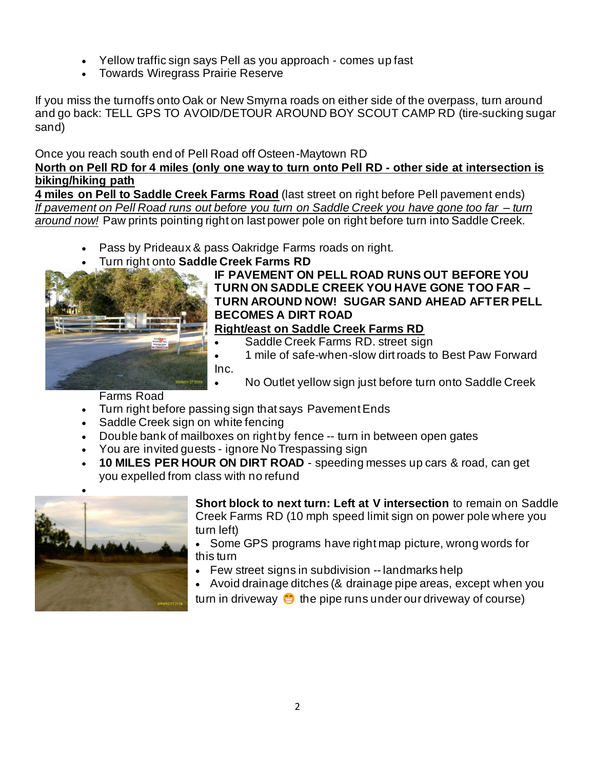- Yellow traffic sign says Pell as you approach comes up fast
- Towards Wiregrass Prairie Reserve

If you miss the turnoffs onto Oak or New Smyrna roads on either side of the overpass, turn around and go back: TELL GPS TO AVOID/DETOUR AROUND BOY SCOUT CAMP RD (tire-sucking sugar sand)

Once you reach south end of Pell Road off Osteen-Maytown RD **North on Pell RD for 4 miles (only one way to turn onto Pell RD - other side at intersection is biking/hiking path**

**4 miles on Pell to Saddle Creek Farms Road** (last street on right before Pell pavement ends) *If pavement on Pell Road runs out before you turn on Saddle Creek you have gone too far – turn around now!* Paw prints pointing right on last power pole on right before turn into Saddle Creek.

- Pass by Prideaux & pass Oakridge Farms roads on right.
- Turn right onto **Saddle Creek Farms RD**



#### **IF PAVEMENT ON PELL ROAD RUNS OUT BEFORE YOU TURN ON SADDLE CREEK YOU HAVE GONE TOO FAR – TURN AROUND NOW! SUGAR SAND AHEAD AFTER PELL BECOMES A DIRT ROAD**

- **Right/east on Saddle Creek Farms RD** 
	- Saddle Creek Farms RD. street sign
- 1 mile of safe-when-slow dirt roads to Best Paw Forward Inc.
	- No Outlet yellow sign just before turn onto Saddle Creek

Farms Road

- Turn right before passing sign that says Pavement Ends
- Saddle Creek sign on white fencing
- Double bank of mailboxes on right by fence -- turn in between open gates
- You are invited guests ignore No Trespassing sign
- **10 MILES PER HOUR ON DIRT ROAD** speeding messes up cars & road, can get you expelled from class with no refund



**Short block to next turn: Left at V intersection** to remain on Saddle Creek Farms RD (10 mph speed limit sign on power pole where you turn left)

• Some GPS programs have right map picture, wrong words for this turn

- Few street signs in subdivision -- landmarks help
- Avoid drainage ditches (& drainage pipe areas, except when you

turn in driveway  $\bullet$  the pipe runs under our driveway of course)